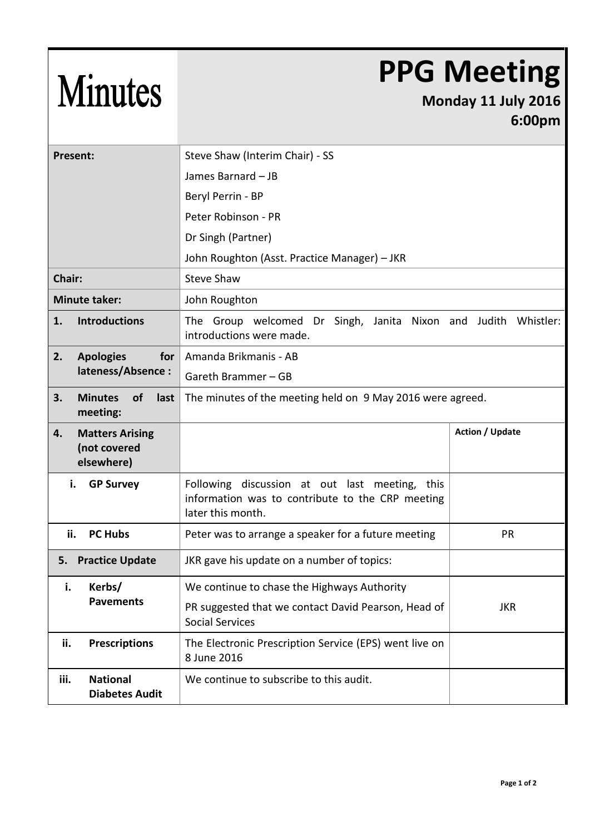## **PPG Meeting**

## **Monday 11 July 2016 6:00pm**

| <b>Present:</b>                                            | Steve Shaw (Interim Chair) - SS                                                                                         |                        |
|------------------------------------------------------------|-------------------------------------------------------------------------------------------------------------------------|------------------------|
|                                                            | James Barnard - JB                                                                                                      |                        |
|                                                            | Beryl Perrin - BP                                                                                                       |                        |
|                                                            | Peter Robinson - PR                                                                                                     |                        |
|                                                            | Dr Singh (Partner)                                                                                                      |                        |
|                                                            | John Roughton (Asst. Practice Manager) - JKR                                                                            |                        |
| Chair:                                                     | <b>Steve Shaw</b>                                                                                                       |                        |
| <b>Minute taker:</b>                                       | John Roughton                                                                                                           |                        |
| <b>Introductions</b><br>1.                                 | The Group welcomed Dr Singh, Janita Nixon and Judith Whistler:<br>introductions were made.                              |                        |
| 2.<br><b>Apologies</b><br>for                              | Amanda Brikmanis - AB                                                                                                   |                        |
| lateness/Absence:                                          | Gareth Brammer - GB                                                                                                     |                        |
| 3.<br><b>Minutes</b><br>last<br><b>of</b><br>meeting:      | The minutes of the meeting held on 9 May 2016 were agreed.                                                              |                        |
| <b>Matters Arising</b><br>4.<br>(not covered<br>elsewhere) |                                                                                                                         | <b>Action / Update</b> |
| <b>GP Survey</b><br>i.                                     | Following discussion at out last meeting, this<br>information was to contribute to the CRP meeting<br>later this month. |                        |
| ii.<br><b>PC Hubs</b>                                      | Peter was to arrange a speaker for a future meeting                                                                     | <b>PR</b>              |
| <b>Practice Update</b><br>5.                               | JKR gave his update on a number of topics:                                                                              |                        |
| i. Kerbs/                                                  | We continue to chase the Highways Authority                                                                             |                        |
| <b>Pavements</b>                                           | PR suggested that we contact David Pearson, Head of<br><b>Social Services</b>                                           | <b>JKR</b>             |
| <b>Prescriptions</b><br>ii.                                | The Electronic Prescription Service (EPS) went live on                                                                  |                        |
|                                                            | 8 June 2016                                                                                                             |                        |

Minutes